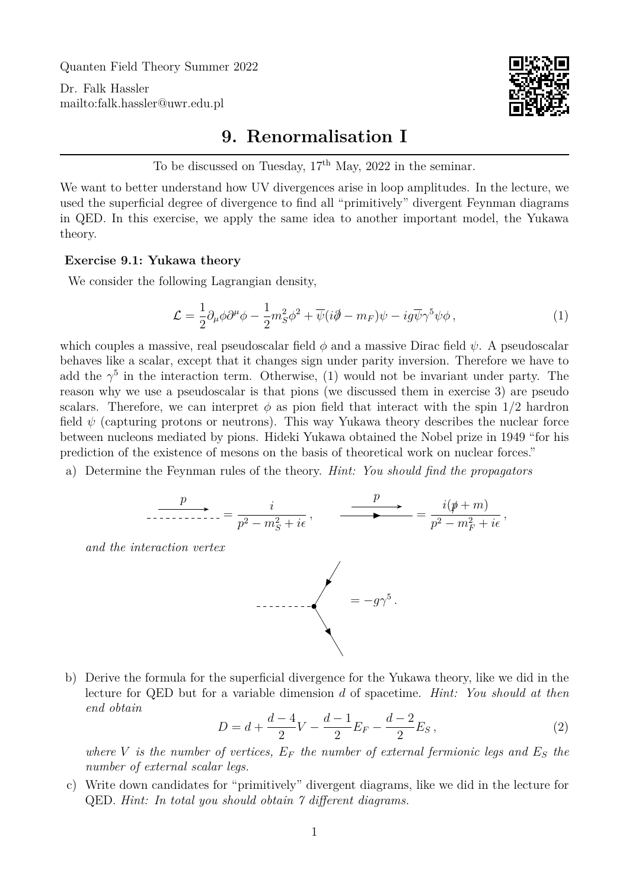Quanten Field Theory Summer 2022

Dr. Falk Hassler <mailto:falk.hassler@uwr.edu.pl>



## **9. Renormalisation I**

To be discussed on Tuesday,  $17<sup>th</sup>$  May, 2022 in the seminar.

We want to better understand how UV divergences arise in loop amplitudes. In the lecture, we used the superficial degree of divergence to find all "primitively" divergent Feynman diagrams in QED. In this exercise, we apply the same idea to another important model, the Yukawa theory.

## **Exercise 9.1: Yukawa theory**

We consider the following Lagrangian density,

<span id="page-0-0"></span>
$$
\mathcal{L} = \frac{1}{2} \partial_{\mu} \phi \partial^{\mu} \phi - \frac{1}{2} m_{S}^{2} \phi^{2} + \overline{\psi} (i \partial - m_{F}) \psi - i g \overline{\psi} \gamma^{5} \psi \phi , \qquad (1)
$$

which couples a massive, real pseudoscalar field  $\phi$  and a massive Dirac field  $\psi$ . A pseudoscalar behaves like a scalar, except that it changes sign under parity inversion. Therefore we have to add the  $\gamma^5$  in the interaction term. Otherwise, [\(1\)](#page-0-0) would not be invariant under party. The reason why we use a pseudoscalar is that pions (we discussed them in exercise 3) are pseudo scalars. Therefore, we can interpret  $\phi$  as pion field that interact with the spin  $1/2$  hardron field  $\psi$  (capturing protons or neutrons). This way Yukawa theory describes the nuclear force between nucleons mediated by pions. Hideki Yukawa obtained the Nobel prize in 1949 "for his prediction of the existence of mesons on the basis of theoretical work on nuclear forces."

a) Determine the Feynman rules of the theory. *Hint: You should find the propagators*

$$
\overbrace{\phantom{p}_{p^2-r+1}}^p = \frac{i}{p^2 - m_S^2 + i\epsilon}, \qquad \overbrace{\phantom{p}_{p^2-r+1}}^p = \frac{i(p+m)}{p^2 - m_F^2 + i\epsilon},
$$

*and the interaction vertex*



b) Derive the formula for the superficial divergence for the Yukawa theory, like we did in the lecture for QED but for a variable dimension d of spacetime. *Hint: You should at then end obtain*

$$
D = d + \frac{d-4}{2}V - \frac{d-1}{2}E_F - \frac{d-2}{2}E_S,
$$
\n(2)

*where* V *is the number of vertices,*  $E_F$  *the number of external fermionic legs and*  $E_S$  *the number of external scalar legs.*

c) Write down candidates for "primitively" divergent diagrams, like we did in the lecture for QED. *Hint: In total you should obtain 7 different diagrams.*